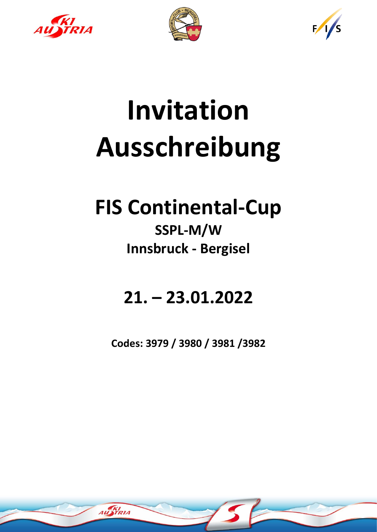





# **Invitation Ausschreibung**

## **FIS Continental-Cup**

### **SSPL-M/W Innsbruck - Bergisel**

### **21. – 23.01.2022**

**Codes: 3979 / 3980 / 3981 /3982**

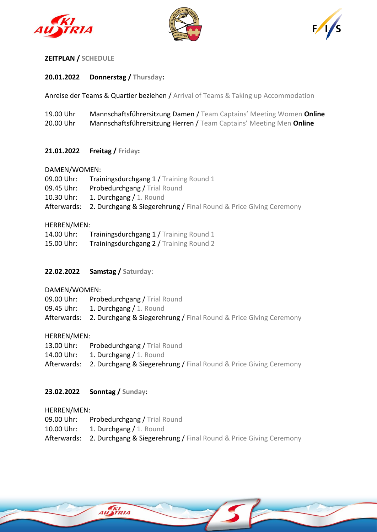





#### **ZEITPLAN / SCHEDULE**

#### **20.01.2022 Donnerstag / Thursday:**

Anreise der Teams & Quartier beziehen / Arrival of Teams & Taking up Accommodation

| 19.00 Uhr | Mannschaftsführersitzung Damen / Team Captains' Meeting Women Online |
|-----------|----------------------------------------------------------------------|
| 20.00 Uhr | Mannschaftsführersitzung Herren / Team Captains' Meeting Men Online  |

#### **21.01.2022 Freitag / Friday:**

#### DAMEN/WOMEN:

| 09.00 Uhr: | <b>Trainingsdurchgang 1 / Training Round 1</b>                                               |
|------------|----------------------------------------------------------------------------------------------|
| 09.45 Uhr: | <b>Probedurchgang / Trial Round</b>                                                          |
| 10.30 Uhr: | 1. Durchgang / 1. Round                                                                      |
|            | <b>Afterwards: 2. Durchgang &amp; Siegerehrung / Final Round &amp; Price Giving Ceremony</b> |

#### HERREN/MEN:

| 14.00 Uhr: | Trainingsdurchgang 1 / Training Round 1 |
|------------|-----------------------------------------|
| 15.00 Uhr: | Trainingsdurchgang 2 / Training Round 2 |

#### **22.02.2022 Samstag / Saturday**:

DAMEN/WOMEN:

09.00 Uhr: Probedurchgang / Trial Round

09.45 Uhr: 1. Durchgang / 1. Round

Afterwards: 2. Durchgang & Siegerehrung / Final Round & Price Giving Ceremony

#### HERREN/MEN:

- 13.00 Uhr: Probedurchgang / Trial Round
- 14.00 Uhr: 1. Durchgang / 1. Round
- Afterwards: 2. Durchgang & Siegerehrung / Final Round & Price Giving Ceremony

#### **23.02.2022 Sonntag / Sunday**:

HERREN/MEN:

09.00 Uhr: Probedurchgang / Trial Round

- 10.00 Uhr: 1. Durchgang / 1. Round
- Afterwards: 2. Durchgang & Siegerehrung / Final Round & Price Giving Ceremony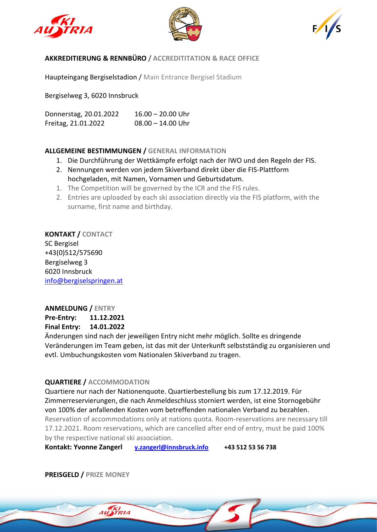





#### **AKKREDITIERUNG & RENNBÜRO** / **ACCREDITITATION & RACE OFFICE**

Haupteingang Bergiselstadion / Main Entrance Bergisel Stadium

Bergiselweg 3, 6020 Innsbruck

Donnerstag, 20.01.2022 16.00 – 20.00 Uhr Freitag, 21.01.2022 08.00 – 14.00 Uhr

#### **ALLGEMEINE BESTIMMUNGEN / GENERAL INFORMATION**

- 1. Die Durchführung der Wettkämpfe erfolgt nach der IWO und den Regeln der FIS.
- 2. Nennungen werden von jedem Skiverband direkt über die FIS-Plattform hochgeladen, mit Namen, Vornamen und Geburtsdatum.
- 1. The Competition will be governed by the ICR and the FIS rules.
- 2. Entries are uploaded by each ski association directly via the FIS platform, with the surname, first name and birthday.

**KONTAKT / CONTACT** SC Bergisel +43(0)512/575690 Bergiselweg 3 6020 Innsbruck [info@bergiselspringen.at](mailto:info@bergiselspringen.at)

#### **ANMELDUNG / ENTRY**

**Pre-Entry: 11.12.2021 Final Entry: 14.01.2022**

Änderungen sind nach der jeweiligen Entry nicht mehr möglich. Sollte es dringende Veränderungen im Team geben, ist das mit der Unterkunft selbstständig zu organisieren und evtl. Umbuchungskosten vom Nationalen Skiverband zu tragen.

#### **QUARTIERE / ACCOMMODATION**

Quartiere nur nach der Nationenquote. Quartierbestellung bis zum 17.12.2019. Für Zimmerreservierungen, die nach Anmeldeschluss storniert werden, ist eine Stornogebühr von 100% der anfallenden Kosten vom betreffenden nationalen Verband zu bezahlen. Reservation of accommodations only at nations quota. Room-reservations are necessary till 17.12.2021. Room reservations, which are cancelled after end of entry, must be paid 100% by the respective national ski association.

**Kontakt: Yvonne Zangerl [y.zangerl@innsbruck.info](mailto:y.zangerl@innsbruck.info) +43 512 53 56 738**

**PREISGELD / PRIZE MONEY**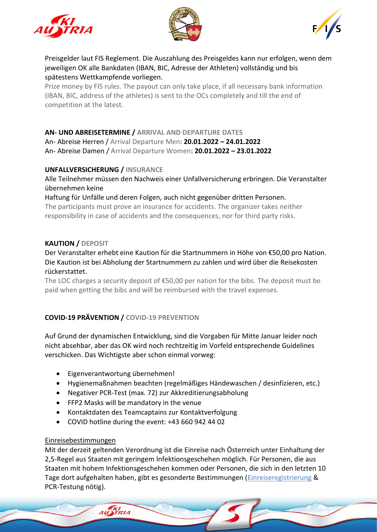





Preisgelder laut FIS Reglement. Die Auszahlung des Preisgeldes kann nur erfolgen, wenn dem jeweiligen OK alle Bankdaten (IBAN, BIC, Adresse der Athleten) vollständig und bis spätestens Wettkampfende vorliegen.

Prize money by FIS rules. The payout can only take place, if all necessary bank information (IBAN, BIC, address of the athletes) is sent to the OCs completely and till the end of competition at the latest.

#### **AN- UND ABREISETERMINE / ARRIVAL AND DEPARTURE DATES**

An- Abreise Herren / Arrival Departure Men: **20.01.2022 – 24.01.2022** An- Abreise Damen / Arrival Departure Women: **20.01.2022 – 23.01.2022**

#### **UNFALLVERSICHERUNG / INSURANCE**

Alle Teilnehmer müssen den Nachweis einer Unfallversicherung erbringen. Die Veranstalter übernehmen keine

#### Haftung für Unfälle und deren Folgen, auch nicht gegenüber dritten Personen.

The participants must prove an insurance for accidents. The organizer takes neither responsibility in case of accidents and the consequences, nor for third party risks.

#### **KAUTION / DEPOSIT**

#### Der Veranstalter erhebt eine Kaution für die Startnummern in Höhe von €50,00 pro Nation. Die Kaution ist bei Abholung der Startnummern zu zahlen und wird über die Reisekosten rückerstattet.

The LOC charges a security deposit of €50,00 per nation for the bibs. The deposit must be paid when getting the bibs and will be reimbursed with the travel expenses.

#### **COVID-19 PRÄVENTION / COVID-19 PREVENTION**

Auf Grund der dynamischen Entwicklung, sind die Vorgaben für Mitte Januar leider noch nicht absehbar, aber das OK wird noch rechtzeitig im Vorfeld entsprechende Guidelines verschicken. Das Wichtigste aber schon einmal vorweg:

• Eigenverantwortung übernehmen!

AU **XI**RIA

- Hygienemaßnahmen beachten (regelmäßiges Händewaschen / desinfizieren, etc.)
- Negativer PCR-Test (max. 72) zur Akkreditierungsabholung
- FFP2 Masks will be mandatory in the venue
- Kontaktdaten des Teamcaptains zur Kontaktverfolgung
- COVID hotline during the event: +43 660 942 44 02

#### Einreisebestimmungen

Mit der derzeit geltenden Verordnung ist die Einreise nach Österreich unter Einhaltung der 2,5-Regel aus Staaten mit geringem Infektionsgeschehen möglich. Für Personen, die aus Staaten mit hohem Infektionsgeschehen kommen oder Personen, die sich in den letzten 10 Tage dort aufgehalten haben, gibt es gesonderte Bestimmungen [\(Einreiseregistrierung](https://entry.ptc.gv.at/) & PCR-Testung nötig).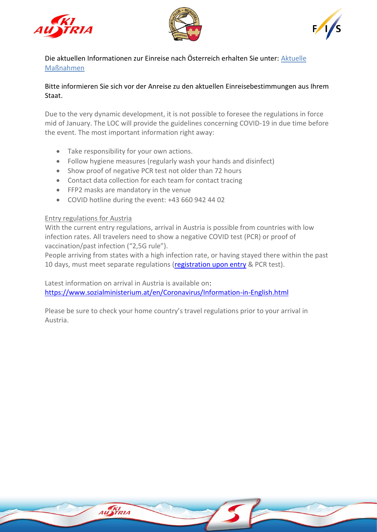





Die aktuellen Informationen zur Einreise nach Österreich erhalten Sie unter: [Aktuelle](https://www.sozialministerium.at/Informationen-zum-Coronavirus/Coronavirus---Aktuelle-Ma%C3%9Fnahmen.html)  [Maßnahmen](https://www.sozialministerium.at/Informationen-zum-Coronavirus/Coronavirus---Aktuelle-Ma%C3%9Fnahmen.html)

#### Bitte informieren Sie sich vor der Anreise zu den aktuellen Einreisebestimmungen aus Ihrem Staat.

Due to the very dynamic development, it is not possible to foresee the regulations in force mid of January. The LOC will provide the guidelines concerning COVID-19 in due time before the event. The most important information right away:

- Take responsibility for your own actions.
- Follow hygiene measures (regularly wash your hands and disinfect)
- Show proof of negative PCR test not older than 72 hours
- Contact data collection for each team for contact tracing
- FFP2 masks are mandatory in the venue

AUSTRIA

• COVID hotline during the event: +43 660 942 44 02

#### Entry regulations for Austria

With the current entry regulations, arrival in Austria is possible from countries with low infection rates. All travelers need to show a negative COVID test (PCR) or proof of vaccination/past infection ("2,5G rule").

People arriving from states with a high infection rate, or having stayed there within the past 10 days, must meet separate regulations [\(registration upon entry](https://entry.ptc.gv.at/) & PCR test).

Latest information on arrival in Austria is available on: <https://www.sozialministerium.at/en/Coronavirus/Information-in-English.html>

Please be sure to check your home country's travel regulations prior to your arrival in Austria.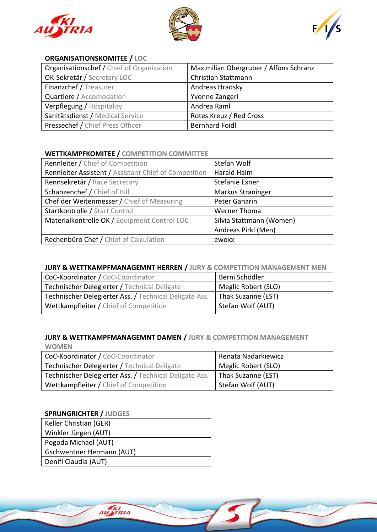





#### **ORGANISATIONSKOMITEE / LOC**

| Organisationschef / Chief of Organization | Maximilian Obergruber / Alfons Schranz |
|-------------------------------------------|----------------------------------------|
| OK-Sekretär / Secretary LOC               | Christian Stattmann                    |
| Finanzchef / Treasurer                    | Andreas Hradsky                        |
| Quartiere / Accomodation                  | Yvonne Zangerl                         |
| Verpflegung / Hospitality                 | Andrea Raml                            |
| Sanitätsdienst / Medical Service          | Rotes Kreuz / Red Cross                |
| Pressechef / Chief Press Officer          | <b>Bernhard Foidl</b>                  |

#### **WETTKAMPFKOMITEE / COMPETITION COMMITTEE**

| <b>Rennleiter / Chief of Competition</b>              | Stefan Wolf              |
|-------------------------------------------------------|--------------------------|
| Rennleiter Assistent / Assistant Chief of Competition | Harald Haim              |
| Rennsekretär / Race Secretary                         | Stefanie Exner           |
| Schanzenchef / Chief of Hill                          | Markus Straninger        |
| Chef der Weitenmesser / Chief of Measuring            | Peter Ganarin            |
| Startkontrolle / Start Control                        | Werner Thoma             |
| Materialkontrolle OK / Equipment Control LOC          | Silvia Stattmann (Women) |
|                                                       | Andreas Pirkl (Men)      |
| Rechenbüro Chef / Chief of Calculation                | ewoxx                    |

#### **JURY & WETTKAMPFMANAGEMNT HERREN / JURY & COMPETITION MANAGEMENT MEN**

| CoC-Koordinator / CoC-Coordinator                      | Berni Schödler      |
|--------------------------------------------------------|---------------------|
| Technischer Delegierter / Technical Deligate           | Meglic Robert (SLO) |
| Technischer Delegierter Ass. / Technical Deligate Ass. | Thak Suzanne (EST)  |
| Wettkampfleiter / Chief of Competition                 | Stefan Wolf (AUT)   |

#### **JURY & WETTKAMPFMANAGEMNT DAMEN / JURY & COMPETITION MANAGEMENT**

| <b>WOMEN</b>                                           |                     |  |
|--------------------------------------------------------|---------------------|--|
| CoC-Koordinator / CoC-Coordinator                      | Renata Nadarkiewicz |  |
| Technischer Delegierter / Technical Deligate           | Meglic Robert (SLO) |  |
| Technischer Delegierter Ass. / Technical Deligate Ass. | Thak Suzanne (EST)  |  |
| Wettkampfleiter / Chief of Competition                 | Stefan Wolf (AUT)   |  |

#### **SPRUNGRICHTER / JUDGES**

| Keller Christian (GER)    |  |
|---------------------------|--|
| Winkler Jürgen (AUT)      |  |
| Pogoda Michael (AUT)      |  |
| Gschwentner Hermann (AUT) |  |
| Denifl Claudia (AUT)      |  |